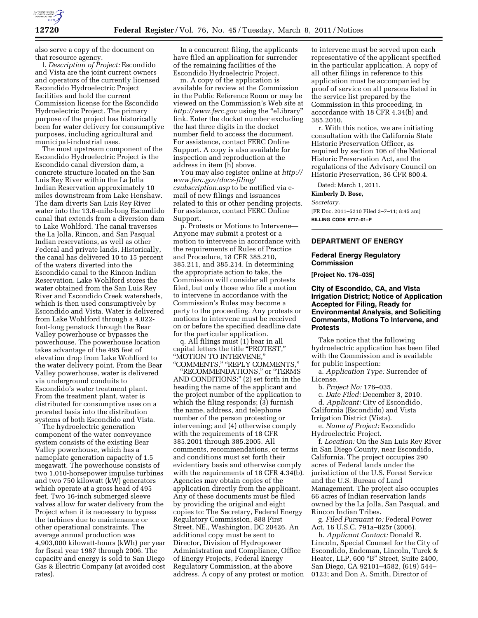

also serve a copy of the document on that resource agency.

l. *Description of Project:* Escondido and Vista are the joint current owners and operators of the currently licensed Escondido Hydroelectric Project facilities and hold the current Commission license for the Escondido Hydroelectric Project. The primary purpose of the project has historically been for water delivery for consumptive purposes, including agricultural and municipal-industrial uses.

The most upstream component of the Escondido Hydroelectric Project is the Escondido canal diversion dam, a concrete structure located on the San Luis Rey River within the La Jolla Indian Reservation approximately 10 miles downstream from Lake Henshaw. The dam diverts San Luis Rey River water into the 13.6-mile-long Escondido canal that extends from a diversion dam to Lake Wohlford. The canal traverses the La Jolla, Rincon, and San Pasqual Indian reservations, as well as other Federal and private lands. Historically, the canal has delivered 10 to 15 percent of the waters diverted into the Escondido canal to the Rincon Indian Reservation. Lake Wohlford stores the water obtained from the San Luis Rey River and Escondido Creek watersheds, which is then used consumptively by Escondido and Vista. Water is delivered from Lake Wohlford through a 4,022 foot-long penstock through the Bear Valley powerhouse or bypasses the powerhouse. The powerhouse location takes advantage of the 495 feet of elevation drop from Lake Wohlford to the water delivery point. From the Bear Valley powerhouse, water is delivered via underground conduits to Escondido's water treatment plant. From the treatment plant, water is distributed for consumptive uses on a prorated basis into the distribution systems of both Escondido and Vista.

The hydroelectric generation component of the water conveyance system consists of the existing Bear Valley powerhouse, which has a nameplate generation capacity of 1.5 megawatt. The powerhouse consists of two 1,010-horsepower impulse turbines and two 750 kilowatt (kW) generators which operate at a gross head of 495 feet. Two 16-inch submerged sleeve valves allow for water delivery from the Project when it is necessary to bypass the turbines due to maintenance or other operational constraints. The average annual production was 4,903,000 kilowatt-hours (kWh) per year for fiscal year 1987 through 2006. The capacity and energy is sold to San Diego Gas & Electric Company (at avoided cost rates).

In a concurrent filing, the applicants have filed an application for surrender of the remaining facilities of the Escondido Hydroelectric Project.

m. A copy of the application is available for review at the Commission in the Public Reference Room or may be viewed on the Commission's Web site at *<http://www.ferc.gov>*using the ''eLibrary'' link. Enter the docket number excluding the last three digits in the docket number field to access the document. For assistance, contact FERC Online Support. A copy is also available for inspection and reproduction at the address in item (h) above.

You may also register online at *[http://](http://www.ferc.gov/docs-filing/esubscription.asp)  [www.ferc.gov/docs-filing/](http://www.ferc.gov/docs-filing/esubscription.asp)  [esubscription.asp](http://www.ferc.gov/docs-filing/esubscription.asp)* to be notified via email of new filings and issuances related to this or other pending projects. For assistance, contact FERC Online Support.

p. Protests or Motions to Intervene— Anyone may submit a protest or a motion to intervene in accordance with the requirements of Rules of Practice and Procedure, 18 CFR 385.210, 385.211, and 385.214. In determining the appropriate action to take, the Commission will consider all protests filed, but only those who file a motion to intervene in accordance with the Commission's Rules may become a party to the proceeding. Any protests or motions to intervene must be received on or before the specified deadline date for the particular application.

q. All filings must (1) bear in all capital letters the title "PROTEST," ''MOTION TO INTERVENE,'' ''COMMENTS,'' ''REPLY COMMENTS,''

''RECOMMENDATIONS,'' or ''TERMS AND CONDITIONS;'' (2) set forth in the heading the name of the applicant and the project number of the application to which the filing responds; (3) furnish the name, address, and telephone number of the person protesting or intervening; and (4) otherwise comply with the requirements of 18 CFR 385.2001 through 385.2005. All comments, recommendations, or terms and conditions must set forth their evidentiary basis and otherwise comply with the requirements of 18 CFR 4.34(b). Agencies may obtain copies of the application directly from the applicant. Any of these documents must be filed by providing the original and eight copies to: The Secretary, Federal Energy Regulatory Commission, 888 First Street, NE., Washington, DC 20426. An additional copy must be sent to Director, Division of Hydropower Administration and Compliance, Office of Energy Projects, Federal Energy Regulatory Commission, at the above address. A copy of any protest or motion

to intervene must be served upon each representative of the applicant specified in the particular application. A copy of all other filings in reference to this application must be accompanied by proof of service on all persons listed in the service list prepared by the Commission in this proceeding, in accordance with 18 CFR 4.34(b) and 385.2010.

r. With this notice, we are initiating consultation with the California State Historic Preservation Officer, as required by section 106 of the National Historic Preservation Act, and the regulations of the Advisory Council on Historic Preservation, 36 CFR 800.4.

Dated: March 1, 2011.

#### **Kimberly D. Bose,**

*Secretary.* 

[FR Doc. 2011–5210 Filed 3–7–11; 8:45 am] **BILLING CODE 6717–01–P** 

# **DEPARTMENT OF ENERGY**

#### **Federal Energy Regulatory Commission**

**[Project No. 176–035]** 

# **City of Escondido, CA, and Vista Irrigation District; Notice of Application Accepted for Filing, Ready for Environmental Analysis, and Soliciting Comments, Motions To Intervene, and Protests**

Take notice that the following hydroelectric application has been filed with the Commission and is available for public inspection:

a. *Application Type:* Surrender of License.

b. *Project No:* 176–035.

c. *Date Filed:* December 3, 2010. d. *Applicant:* City of Escondido, California (Escondido) and Vista Irrigation District (Vista).

e. *Name of Project:* Escondido Hydroelectric Project.

f. *Location:* On the San Luis Rey River in San Diego County, near Escondido, California. The project occupies 290 acres of Federal lands under the jurisdiction of the U.S. Forest Service and the U.S. Bureau of Land Management. The project also occupies 66 acres of Indian reservation lands owned by the La Jolla, San Pasqual, and Rincon Indian Tribes.

g. *Filed Pursuant to:* Federal Power Act, 16 U.S.C. 791a–825r (2006).

h. *Applicant Contact:* Donald R. Lincoln, Special Counsel for the City of Escondido, Endeman, Lincoln, Turek & Heater, LLP, 600 "B" Street, Suite 2400, San Diego, CA 92101–4582, (619) 544– 0123; and Don A. Smith, Director of